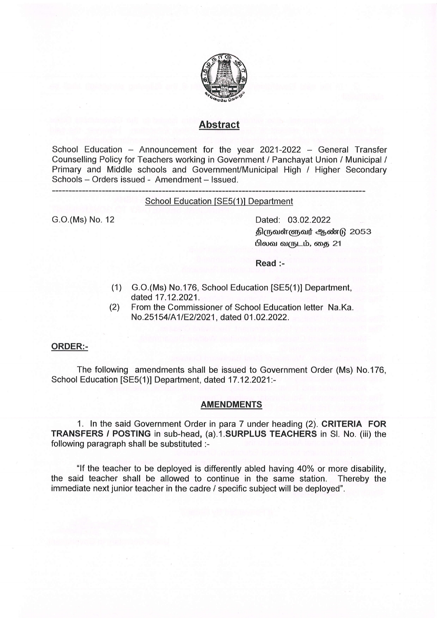

# Abstract

School Education - Announcement for the year 2021-2022 - General Transfer Counselling Policy for Teachers working in Government / Panchayat Union / Municipal / Primary and Middle schools and Government/Municipal High / Higher Secondary Schools - Orders issued - Amendment - Issued.

#### School Education [SE5(1)] Department

G.O.(Ms) No. 12 Dated: 03.02.2022 திருவள்ளுவர் ஆண்டு 2053 பிலவ வருடம், கை 21

Read :-

- (1) G.O.(Ms) No.176, School Education [SE5(1)] Department,
- (2) From the Commissioner of School Education letter Na.Ka. No.25154/A1/E2/2021, dated 01.02.2022.

### ORDER:-

The following amendments shall be issued to Government Order (Ms) No.176, School Education [SE5(1)] Department, dated 17.12.2021:-

#### **AMENDMENTS**

1. ln the said Government Order in para 7 under heading (2), CRITERIA FOR TRANSFERS / POSTING in sub-head, (a).1.SURPLUS TEACHERS in Sl. No. (iii) the following paragraph shall be substituted :-

"If the teacher to be deployed is differently abled having 40% or more disability, the said teacher shall be allowed to continue in the same station. Thereby the immediate next junior teacher in the cadre / specific subject will be deployed".